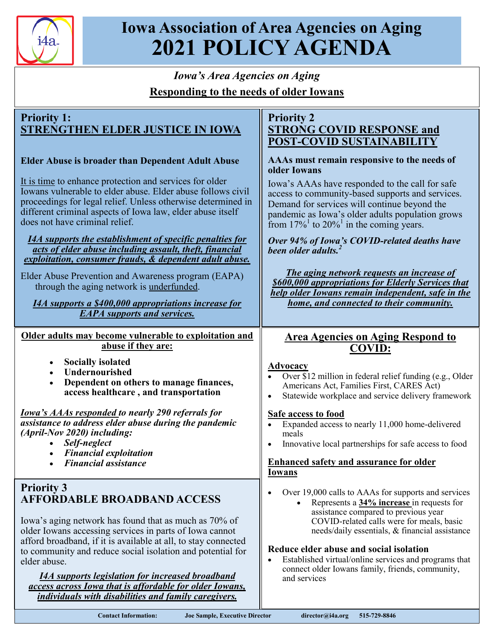

# **Iowa Association of Area Agencies on Aging 2021 POLICY AGENDA**

# *Iowa's Area Agencies on Aging* **Responding to the needs of older Iowans**

# **Priority 1: STRENGTHEN ELDER JUSTICE IN IOWA**

## **Elder Abuse is broader than Dependent Adult Abuse**

It is time to enhance protection and services for older Iowans vulnerable to elder abuse. Elder abuse follows civil proceedings for legal relief. Unless otherwise determined in different criminal aspects of Iowa law, elder abuse itself does not have criminal relief.

#### *I4A supports the establishment of specific penalties for acts of elder abuse including assault, theft, financial exploitation, consumer frauds, & dependent adult abuse.*

Elder Abuse Prevention and Awareness program (EAPA) through the aging network is underfunded.

*I4A supports a \$400,000 appropriations increase for EAPA supports and services.*

**Older adults may become vulnerable to exploitation and abuse if they are:**

- **Socially isolated**
- **Undernourished**
- **Dependent on others to manage finances, access healthcare , and transportation**

*Iowa's AAAs responded to nearly 290 referrals for assistance to address elder abuse during the pandemic (April-Nov 2020) including:*

- *Self-neglect*
- *Financial exploitation*
- *Financial assistance*

# **Priority 3 AFFORDABLE BROADBAND ACCESS**

Iowa's aging network has found that as much as 70% of older Iowans accessing services in parts of Iowa cannot afford broadband, if it is available at all, to stay connected to community and reduce social isolation and potential for elder abuse.

*I4A supports legislation for increased broadband access across Iowa that is affordable for older Iowans, individuals with disabilities and family caregivers.*

## **Priority 2 STRONG COVID RESPONSE and POST-COVID SUSTAINABILITY**

#### **AAAs must remain responsive to the needs of older Iowans**

Iowa's AAAs have responded to the call for safe access to community-based supports and services. Demand for services will continue beyond the pandemic as Iowa's older adults population grows from  $17\%$ <sup>1</sup> to  $20\%$ <sup>1</sup> in the coming years.

*Over 94% of Iowa's COVID-related deaths have been older adults.<sup>2</sup>*

*The aging network requests an increase of \$600,000 appropriations for Elderly Services that help older Iowans remain independent, safe in the home, and connected to their community.*

# **Area Agencies on Aging Respond to COVID:**

#### **Advocacy**

- Over \$12 million in federal relief funding (e.g., Older Americans Act, Families First, CARES Act)
- Statewide workplace and service delivery framework

## **Safe access to food**

- Expanded access to nearly 11,000 home-delivered meals
- Innovative local partnerships for safe access to food

## **Enhanced safety and assurance for older Iowans**

- Over 19,000 calls to AAAs for supports and services
	- Represents a **34% increase** in requests for assistance compared to previous year COVID-related calls were for meals, basic needs/daily essentials, & financial assistance

#### **Reduce elder abuse and social isolation**

Established virtual/online services and programs that connect older Iowans family, friends, community, and services